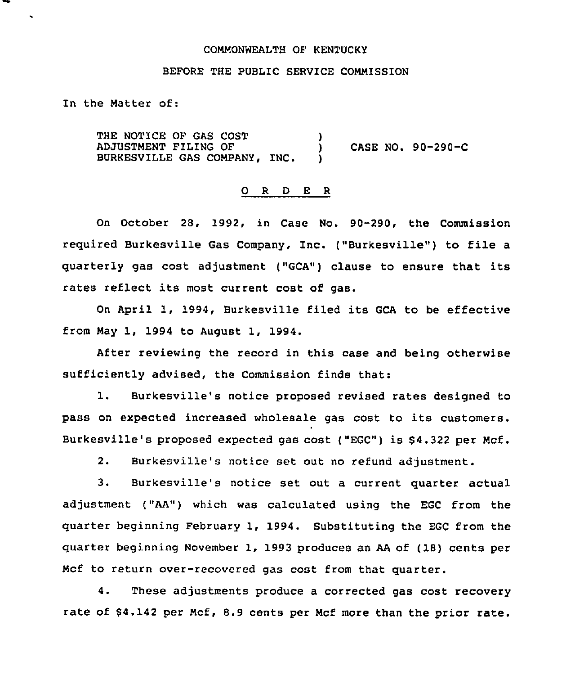### COMMONWEALTH OF KENTUCKY

# BEFORE THE PUBLIC SERVICE COMMISSION

In the Matter of:

THE NOTICE OF GAS COST ADJUSTMENT FILING OF BURKESVILLE GAS COMPANY, INC. )<br>) CASE NO. 90-290-C )

## 0 <sup>R</sup> <sup>D</sup> <sup>E</sup> <sup>R</sup>

On October 28, 1992, in Case No. 90-290, the Commission required Burkesville Gas Company, Inc. ("Burkesville") to file <sup>a</sup> quarterly gas cost adjustment ("GCA") clause to ensure that its rates reflect its most current cost of gas.

On April 1, 1994, Burkesville filed its GCA to be effective from May 1, 1994 to August 1, 1994.

After reviewing the record in this case and being otherwise sufficiently advised, the Commission finds that:

1. Burkesville's notice proposed revised rates designed to pass on expected increased wholesale gas cost to its customers. Burkesville's proposed expected gas cost ("EGC") is \$4.322 per Mcf.

2. Burkesville's notice set out no refund adjustment.

3. Burkesville's notice set out a current quarter actual adjustment ("AA") which was calculated using the EGC from the quarter beginning February 1, 1994. Substituting the EGC from the quarter beginning November 1, 1993 produces an AA of (18) cents per Mcf to return over-recovered gas cost from that quarter.

4. These adjustments produce a corrected gas cost recovery rate of \$4.142 per Mcf, 8.9 cents per Mcf more than the prior rate.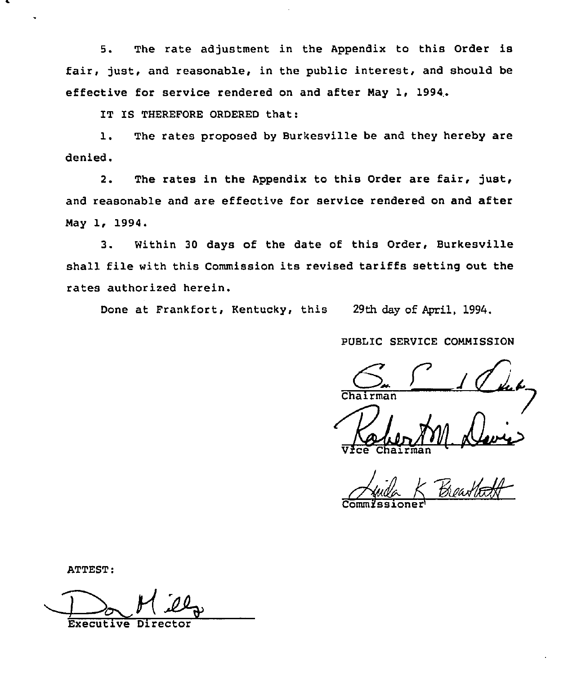5. The rate adjustment in the Appendix to this Order is fair, just, and reasonable, in the public interest, and should be effective for service rendered on and after Nay 1, 1994,.

IT IS THEREFORE ORDERED that:

l. The rates proposed by Burkesville be and they hereby are denied.

2. The rates in the Appendix to this Order are fair, just, and reasonable and are effective for service rendered on and after Nay 1, 1994.

3. Within <sup>30</sup> days of the date of this Order, Burkesville shall file with this Commission its revised tariffs setting out the rates authorized herein.

Done at Frankfort, Kentucky, this 29th day of April, 1994.

PUBLIC SERVICE CONNISSION

 $G F \sim 1$  (let

Vice Chairma

Aude K Breathatt

ATTEST:

Executive Dire